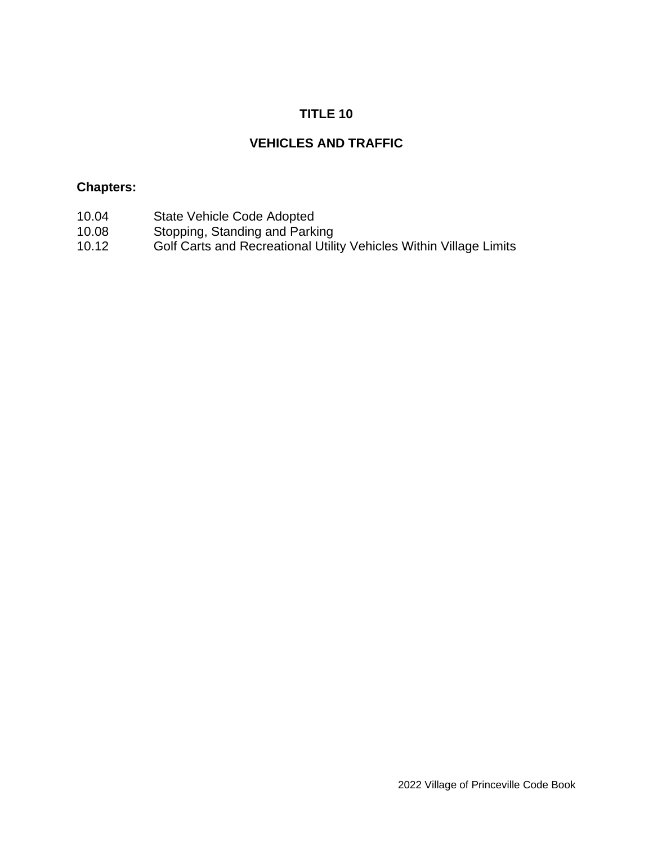# **TITLE 10**

# **VEHICLES AND TRAFFIC**

### **Chapters:**

- 10.04 State Vehicle Code Adopted<br>10.08 Stopping, Standing and Parki
- 10.08 Stopping, Standing and Parking
- 10.12 Golf Carts and Recreational Utility Vehicles Within Village Limits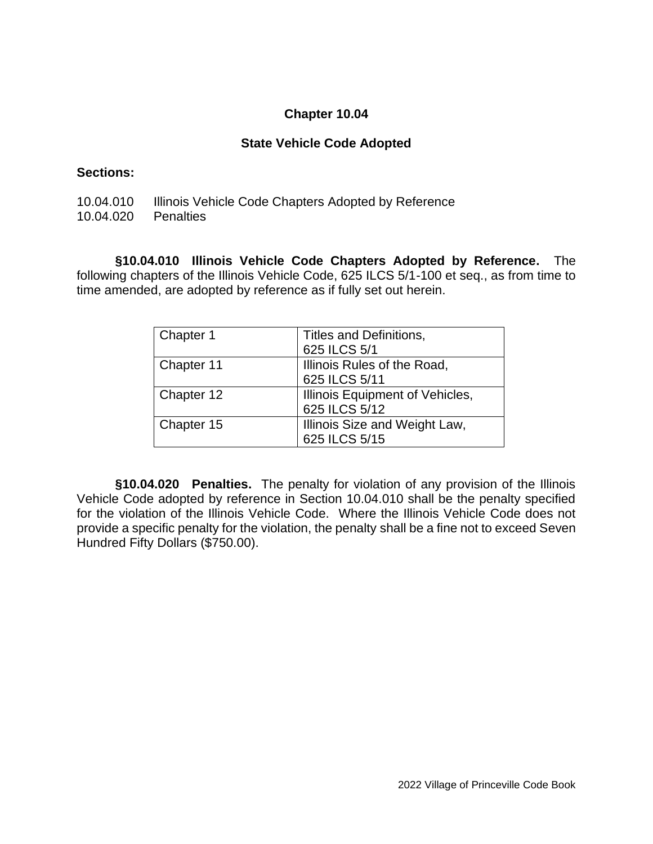#### **Chapter 10.04**

#### **State Vehicle Code Adopted**

#### **Sections:**

- 10.04.010 Illinois Vehicle Code Chapters Adopted by Reference
- 10.04.020 Penalties

**§10.04.010 Illinois Vehicle Code Chapters Adopted by Reference.** The following chapters of the Illinois Vehicle Code, 625 ILCS 5/1-100 et seq., as from time to time amended, are adopted by reference as if fully set out herein.

| Chapter 1  | Titles and Definitions,         |
|------------|---------------------------------|
|            | 625 ILCS 5/1                    |
| Chapter 11 | Illinois Rules of the Road,     |
|            | 625 ILCS 5/11                   |
| Chapter 12 | Illinois Equipment of Vehicles, |
|            | 625 ILCS 5/12                   |
| Chapter 15 | Illinois Size and Weight Law,   |
|            | 625 ILCS 5/15                   |

**§10.04.020 Penalties.** The penalty for violation of any provision of the Illinois Vehicle Code adopted by reference in Section 10.04.010 shall be the penalty specified for the violation of the Illinois Vehicle Code. Where the Illinois Vehicle Code does not provide a specific penalty for the violation, the penalty shall be a fine not to exceed Seven Hundred Fifty Dollars (\$750.00).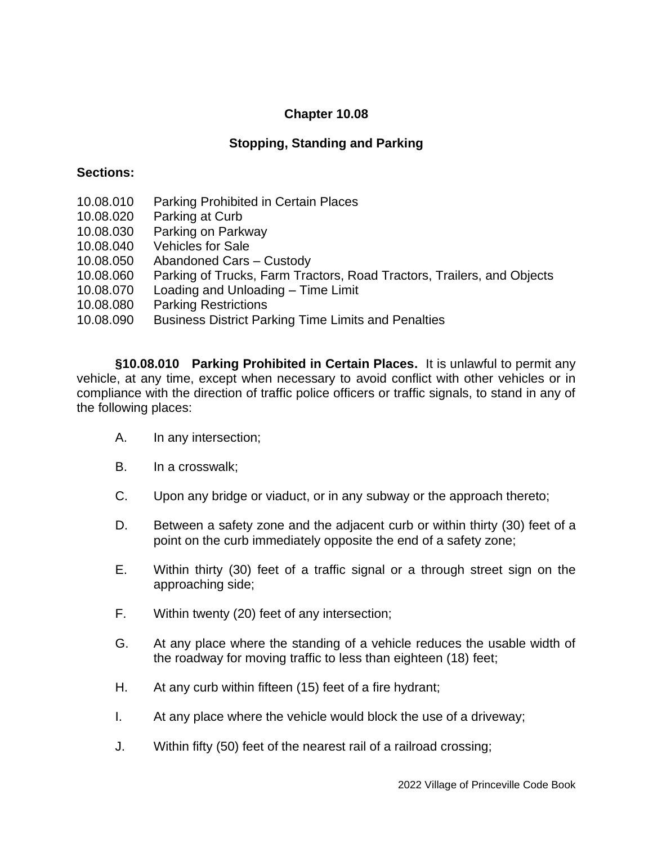# **Chapter 10.08**

# **Stopping, Standing and Parking**

#### **Sections:**

- 10.08.010 Parking Prohibited in Certain Places
- 10.08.020 Parking at Curb
- 10.08.030 Parking on Parkway
- 10.08.040 Vehicles for Sale
- 10.08.050 Abandoned Cars Custody
- 10.08.060 Parking of Trucks, Farm Tractors, Road Tractors, Trailers, and Objects
- 10.08.070 Loading and Unloading Time Limit
- 10.08.080 Parking Restrictions
- 10.08.090 Business District Parking Time Limits and Penalties

**§10.08.010 Parking Prohibited in Certain Places.** It is unlawful to permit any vehicle, at any time, except when necessary to avoid conflict with other vehicles or in compliance with the direction of traffic police officers or traffic signals, to stand in any of the following places:

- A. In any intersection;
- B. In a crosswalk;
- C. Upon any bridge or viaduct, or in any subway or the approach thereto;
- D. Between a safety zone and the adjacent curb or within thirty (30) feet of a point on the curb immediately opposite the end of a safety zone;
- E. Within thirty (30) feet of a traffic signal or a through street sign on the approaching side;
- F. Within twenty (20) feet of any intersection;
- G. At any place where the standing of a vehicle reduces the usable width of the roadway for moving traffic to less than eighteen (18) feet;
- H. At any curb within fifteen (15) feet of a fire hydrant;
- I. At any place where the vehicle would block the use of a driveway;
- J. Within fifty (50) feet of the nearest rail of a railroad crossing;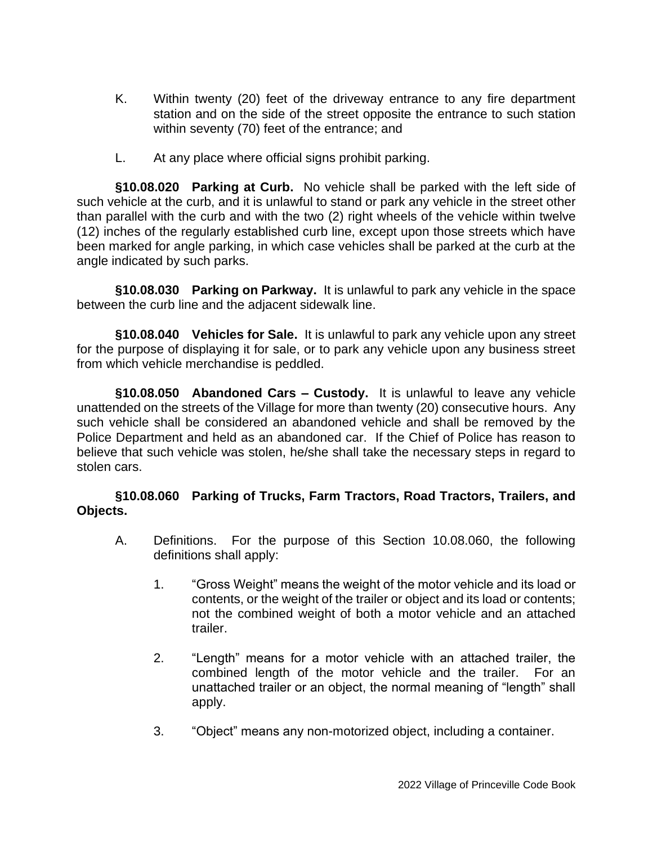- K. Within twenty (20) feet of the driveway entrance to any fire department station and on the side of the street opposite the entrance to such station within seventy (70) feet of the entrance; and
- L. At any place where official signs prohibit parking.

**§10.08.020 Parking at Curb.** No vehicle shall be parked with the left side of such vehicle at the curb, and it is unlawful to stand or park any vehicle in the street other than parallel with the curb and with the two (2) right wheels of the vehicle within twelve (12) inches of the regularly established curb line, except upon those streets which have been marked for angle parking, in which case vehicles shall be parked at the curb at the angle indicated by such parks.

**§10.08.030 Parking on Parkway.** It is unlawful to park any vehicle in the space between the curb line and the adjacent sidewalk line.

**§10.08.040 Vehicles for Sale.** It is unlawful to park any vehicle upon any street for the purpose of displaying it for sale, or to park any vehicle upon any business street from which vehicle merchandise is peddled.

**§10.08.050 Abandoned Cars – Custody.** It is unlawful to leave any vehicle unattended on the streets of the Village for more than twenty (20) consecutive hours. Any such vehicle shall be considered an abandoned vehicle and shall be removed by the Police Department and held as an abandoned car. If the Chief of Police has reason to believe that such vehicle was stolen, he/she shall take the necessary steps in regard to stolen cars.

### **§10.08.060 Parking of Trucks, Farm Tractors, Road Tractors, Trailers, and Objects.**

- A. Definitions. For the purpose of this Section 10.08.060, the following definitions shall apply:
	- 1. "Gross Weight" means the weight of the motor vehicle and its load or contents, or the weight of the trailer or object and its load or contents; not the combined weight of both a motor vehicle and an attached trailer.
	- 2. "Length" means for a motor vehicle with an attached trailer, the combined length of the motor vehicle and the trailer. For an unattached trailer or an object, the normal meaning of "length" shall apply.
	- 3. "Object" means any non-motorized object, including a container.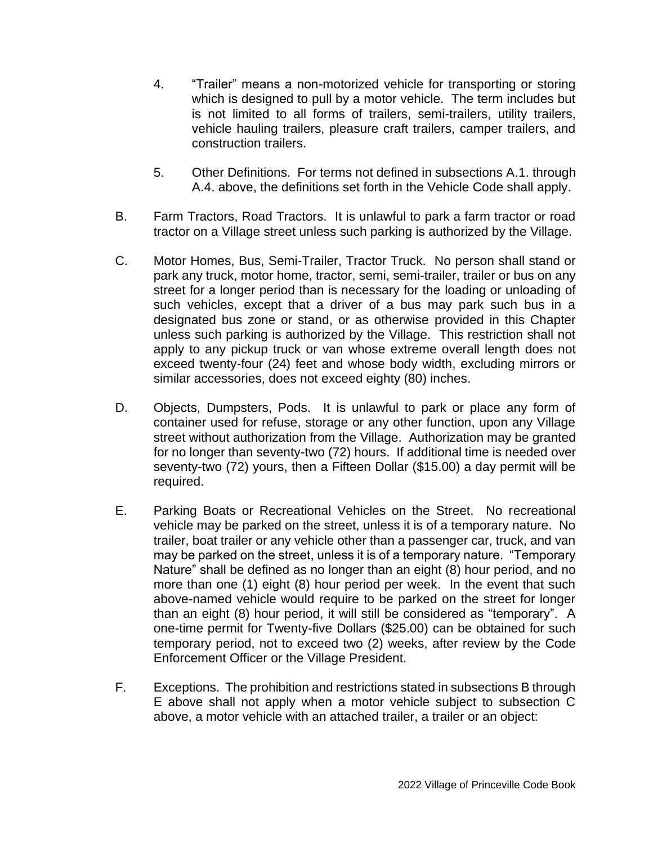- 4. "Trailer" means a non-motorized vehicle for transporting or storing which is designed to pull by a motor vehicle. The term includes but is not limited to all forms of trailers, semi-trailers, utility trailers, vehicle hauling trailers, pleasure craft trailers, camper trailers, and construction trailers.
- 5. Other Definitions. For terms not defined in subsections A.1. through A.4. above, the definitions set forth in the Vehicle Code shall apply.
- B. Farm Tractors, Road Tractors. It is unlawful to park a farm tractor or road tractor on a Village street unless such parking is authorized by the Village.
- C. Motor Homes, Bus, Semi-Trailer, Tractor Truck. No person shall stand or park any truck, motor home, tractor, semi, semi-trailer, trailer or bus on any street for a longer period than is necessary for the loading or unloading of such vehicles, except that a driver of a bus may park such bus in a designated bus zone or stand, or as otherwise provided in this Chapter unless such parking is authorized by the Village. This restriction shall not apply to any pickup truck or van whose extreme overall length does not exceed twenty-four (24) feet and whose body width, excluding mirrors or similar accessories, does not exceed eighty (80) inches.
- D. Objects, Dumpsters, Pods. It is unlawful to park or place any form of container used for refuse, storage or any other function, upon any Village street without authorization from the Village. Authorization may be granted for no longer than seventy-two (72) hours. If additional time is needed over seventy-two (72) yours, then a Fifteen Dollar (\$15.00) a day permit will be required.
- E. Parking Boats or Recreational Vehicles on the Street. No recreational vehicle may be parked on the street, unless it is of a temporary nature. No trailer, boat trailer or any vehicle other than a passenger car, truck, and van may be parked on the street, unless it is of a temporary nature. "Temporary Nature" shall be defined as no longer than an eight (8) hour period, and no more than one (1) eight (8) hour period per week. In the event that such above-named vehicle would require to be parked on the street for longer than an eight (8) hour period, it will still be considered as "temporary". A one-time permit for Twenty-five Dollars (\$25.00) can be obtained for such temporary period, not to exceed two (2) weeks, after review by the Code Enforcement Officer or the Village President.
- F. Exceptions. The prohibition and restrictions stated in subsections B through E above shall not apply when a motor vehicle subject to subsection C above, a motor vehicle with an attached trailer, a trailer or an object: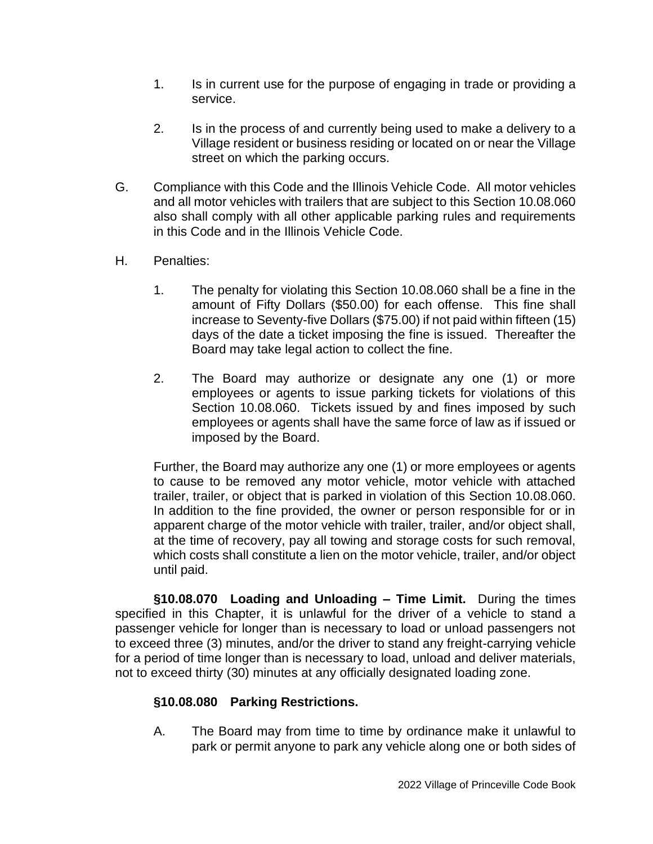- 1. Is in current use for the purpose of engaging in trade or providing a service.
- 2. Is in the process of and currently being used to make a delivery to a Village resident or business residing or located on or near the Village street on which the parking occurs.
- G. Compliance with this Code and the Illinois Vehicle Code. All motor vehicles and all motor vehicles with trailers that are subject to this Section 10.08.060 also shall comply with all other applicable parking rules and requirements in this Code and in the Illinois Vehicle Code.
- H. Penalties:
	- 1. The penalty for violating this Section 10.08.060 shall be a fine in the amount of Fifty Dollars (\$50.00) for each offense. This fine shall increase to Seventy-five Dollars (\$75.00) if not paid within fifteen (15) days of the date a ticket imposing the fine is issued. Thereafter the Board may take legal action to collect the fine.
	- 2. The Board may authorize or designate any one (1) or more employees or agents to issue parking tickets for violations of this Section 10.08.060. Tickets issued by and fines imposed by such employees or agents shall have the same force of law as if issued or imposed by the Board.

Further, the Board may authorize any one (1) or more employees or agents to cause to be removed any motor vehicle, motor vehicle with attached trailer, trailer, or object that is parked in violation of this Section 10.08.060. In addition to the fine provided, the owner or person responsible for or in apparent charge of the motor vehicle with trailer, trailer, and/or object shall, at the time of recovery, pay all towing and storage costs for such removal, which costs shall constitute a lien on the motor vehicle, trailer, and/or object until paid.

**§10.08.070 Loading and Unloading – Time Limit.** During the times specified in this Chapter, it is unlawful for the driver of a vehicle to stand a passenger vehicle for longer than is necessary to load or unload passengers not to exceed three (3) minutes, and/or the driver to stand any freight-carrying vehicle for a period of time longer than is necessary to load, unload and deliver materials, not to exceed thirty (30) minutes at any officially designated loading zone.

## **§10.08.080 Parking Restrictions.**

A. The Board may from time to time by ordinance make it unlawful to park or permit anyone to park any vehicle along one or both sides of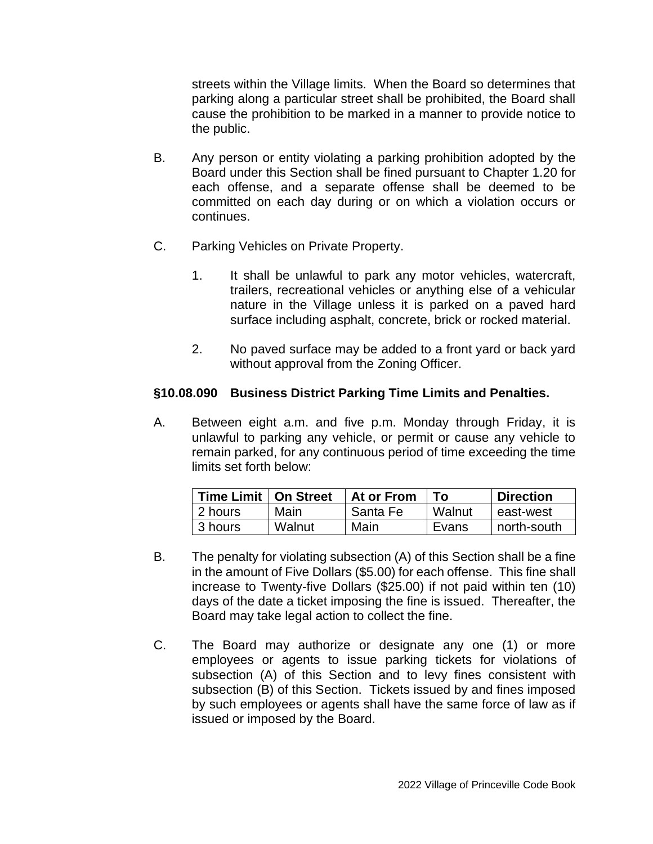streets within the Village limits. When the Board so determines that parking along a particular street shall be prohibited, the Board shall cause the prohibition to be marked in a manner to provide notice to the public.

- B. Any person or entity violating a parking prohibition adopted by the Board under this Section shall be fined pursuant to Chapter 1.20 for each offense, and a separate offense shall be deemed to be committed on each day during or on which a violation occurs or continues.
- C. Parking Vehicles on Private Property.
	- 1. It shall be unlawful to park any motor vehicles, watercraft, trailers, recreational vehicles or anything else of a vehicular nature in the Village unless it is parked on a paved hard surface including asphalt, concrete, brick or rocked material.
	- 2. No paved surface may be added to a front yard or back yard without approval from the Zoning Officer.

### **§10.08.090 Business District Parking Time Limits and Penalties.**

A. Between eight a.m. and five p.m. Monday through Friday, it is unlawful to parking any vehicle, or permit or cause any vehicle to remain parked, for any continuous period of time exceeding the time limits set forth below:

| Time Limit   On Street |        | At or From | Tο     | <b>Direction</b> |
|------------------------|--------|------------|--------|------------------|
| 2 hours                | Main   | Santa Fe   | Walnut | east-west        |
| 13 hours               | Walnut | Main       | Evans  | north-south      |

- B. The penalty for violating subsection (A) of this Section shall be a fine in the amount of Five Dollars (\$5.00) for each offense. This fine shall increase to Twenty-five Dollars (\$25.00) if not paid within ten (10) days of the date a ticket imposing the fine is issued. Thereafter, the Board may take legal action to collect the fine.
- C. The Board may authorize or designate any one (1) or more employees or agents to issue parking tickets for violations of subsection (A) of this Section and to levy fines consistent with subsection (B) of this Section. Tickets issued by and fines imposed by such employees or agents shall have the same force of law as if issued or imposed by the Board.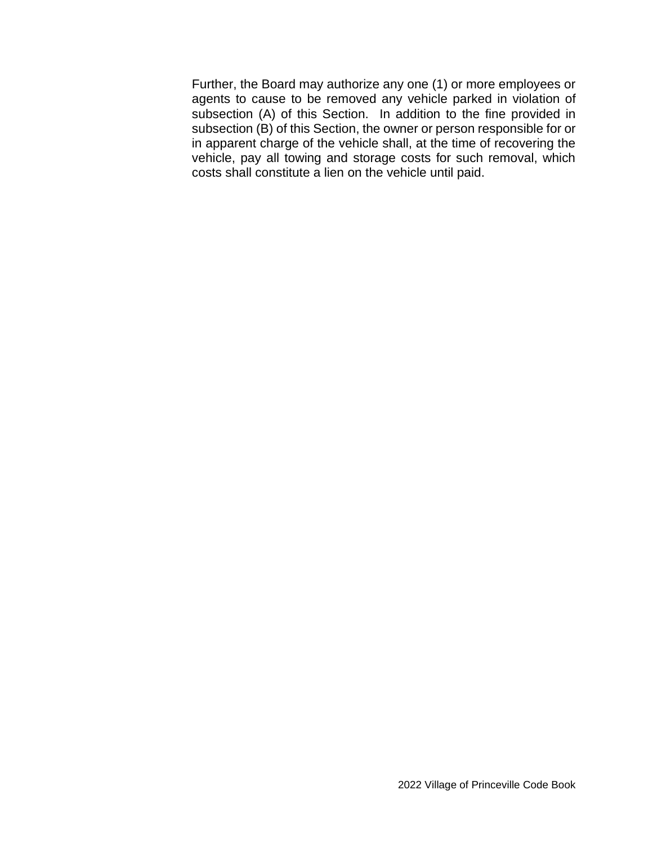Further, the Board may authorize any one (1) or more employees or agents to cause to be removed any vehicle parked in violation of subsection (A) of this Section. In addition to the fine provided in subsection (B) of this Section, the owner or person responsible for or in apparent charge of the vehicle shall, at the time of recovering the vehicle, pay all towing and storage costs for such removal, which costs shall constitute a lien on the vehicle until paid.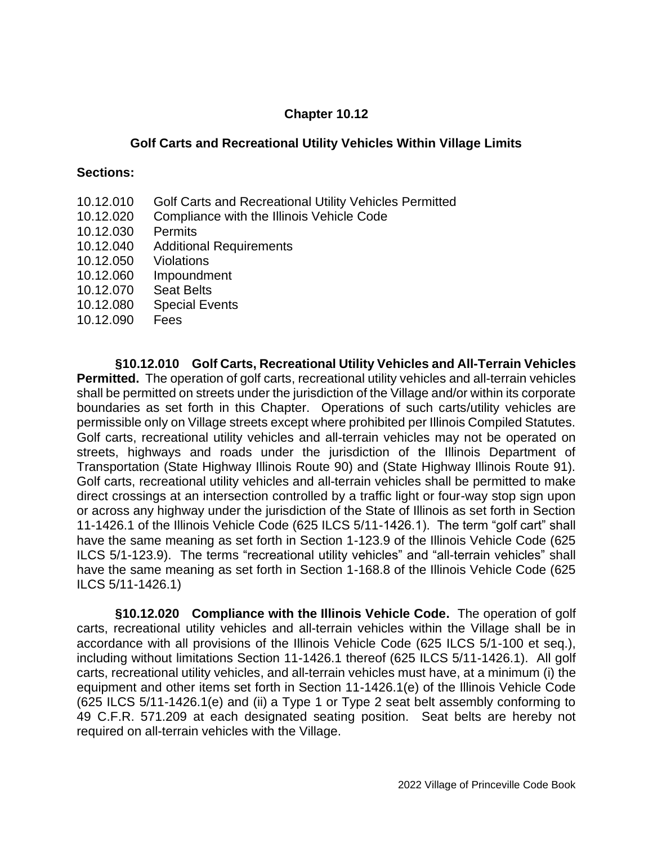### **Chapter 10.12**

#### **Golf Carts and Recreational Utility Vehicles Within Village Limits**

#### **Sections:**

- 10.12.010 Golf Carts and Recreational Utility Vehicles Permitted
- 10.12.020 Compliance with the Illinois Vehicle Code
- 10.12.030 Permits
- 10.12.040 Additional Requirements
- 10.12.050 Violations
- 10.12.060 Impoundment
- 10.12.070 Seat Belts
- 10.12.080 Special Events
- 10.12.090 Fees

**§10.12.010 Golf Carts, Recreational Utility Vehicles and All-Terrain Vehicles Permitted.** The operation of golf carts, recreational utility vehicles and all-terrain vehicles shall be permitted on streets under the jurisdiction of the Village and/or within its corporate boundaries as set forth in this Chapter. Operations of such carts/utility vehicles are permissible only on Village streets except where prohibited per Illinois Compiled Statutes. Golf carts, recreational utility vehicles and all-terrain vehicles may not be operated on streets, highways and roads under the jurisdiction of the Illinois Department of Transportation (State Highway Illinois Route 90) and (State Highway Illinois Route 91). Golf carts, recreational utility vehicles and all-terrain vehicles shall be permitted to make direct crossings at an intersection controlled by a traffic light or four-way stop sign upon or across any highway under the jurisdiction of the State of Illinois as set forth in Section 11-1426.1 of the Illinois Vehicle Code (625 ILCS 5/11-1426.1). The term "golf cart" shall have the same meaning as set forth in Section 1-123.9 of the Illinois Vehicle Code (625 ILCS 5/1-123.9). The terms "recreational utility vehicles" and "all-terrain vehicles" shall have the same meaning as set forth in Section 1-168.8 of the Illinois Vehicle Code (625 ILCS 5/11-1426.1)

**§10.12.020 Compliance with the Illinois Vehicle Code.** The operation of golf carts, recreational utility vehicles and all-terrain vehicles within the Village shall be in accordance with all provisions of the Illinois Vehicle Code (625 ILCS 5/1-100 et seq.), including without limitations Section 11-1426.1 thereof (625 ILCS 5/11-1426.1). All golf carts, recreational utility vehicles, and all-terrain vehicles must have, at a minimum (i) the equipment and other items set forth in Section 11-1426.1(e) of the Illinois Vehicle Code (625 ILCS 5/11-1426.1(e) and (ii) a Type 1 or Type 2 seat belt assembly conforming to 49 C.F.R. 571.209 at each designated seating position. Seat belts are hereby not required on all-terrain vehicles with the Village.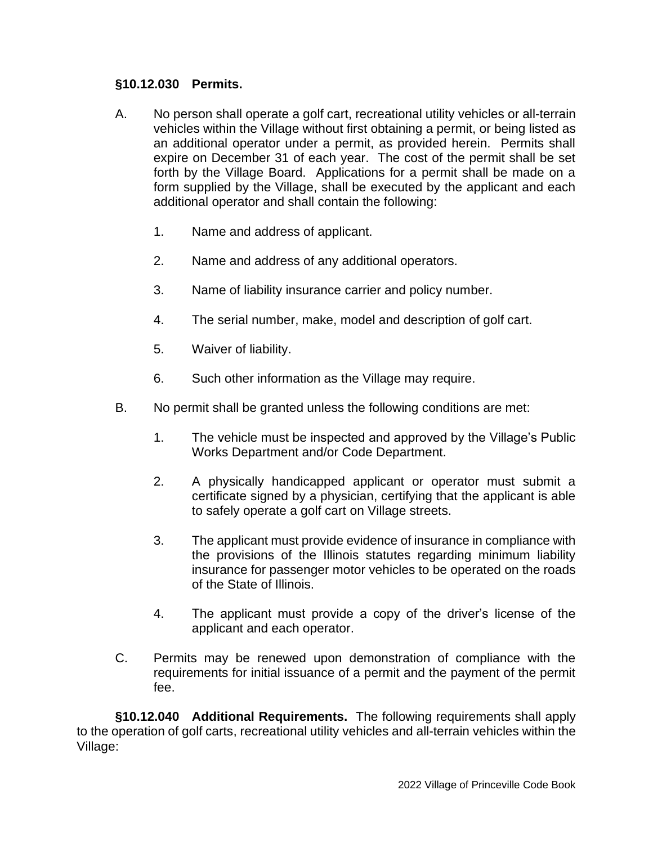### **§10.12.030 Permits.**

- A. No person shall operate a golf cart, recreational utility vehicles or all-terrain vehicles within the Village without first obtaining a permit, or being listed as an additional operator under a permit, as provided herein. Permits shall expire on December 31 of each year. The cost of the permit shall be set forth by the Village Board. Applications for a permit shall be made on a form supplied by the Village, shall be executed by the applicant and each additional operator and shall contain the following:
	- 1. Name and address of applicant.
	- 2. Name and address of any additional operators.
	- 3. Name of liability insurance carrier and policy number.
	- 4. The serial number, make, model and description of golf cart.
	- 5. Waiver of liability.
	- 6. Such other information as the Village may require.
- B. No permit shall be granted unless the following conditions are met:
	- 1. The vehicle must be inspected and approved by the Village's Public Works Department and/or Code Department.
	- 2. A physically handicapped applicant or operator must submit a certificate signed by a physician, certifying that the applicant is able to safely operate a golf cart on Village streets.
	- 3. The applicant must provide evidence of insurance in compliance with the provisions of the Illinois statutes regarding minimum liability insurance for passenger motor vehicles to be operated on the roads of the State of Illinois.
	- 4. The applicant must provide a copy of the driver's license of the applicant and each operator.
- C. Permits may be renewed upon demonstration of compliance with the requirements for initial issuance of a permit and the payment of the permit fee.

**§10.12.040 Additional Requirements.** The following requirements shall apply to the operation of golf carts, recreational utility vehicles and all-terrain vehicles within the Village: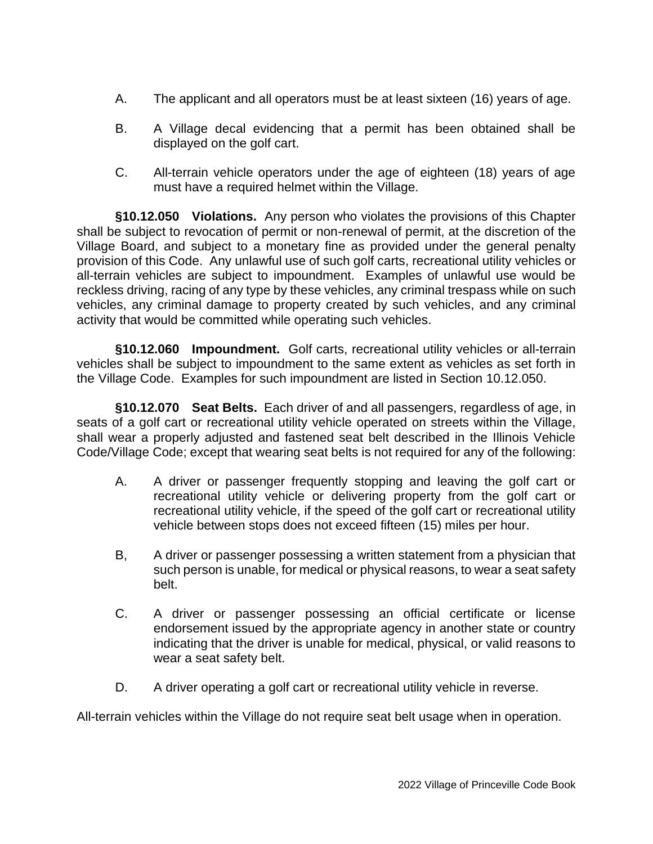- A. The applicant and all operators must be at least sixteen (16) years of age.
- B. A Village decal evidencing that a permit has been obtained shall be displayed on the golf cart.
- C. All-terrain vehicle operators under the age of eighteen (18) years of age must have a required helmet within the Village.

**§10.12.050 Violations.** Any person who violates the provisions of this Chapter shall be subject to revocation of permit or non-renewal of permit, at the discretion of the Village Board, and subject to a monetary fine as provided under the general penalty provision of this Code. Any unlawful use of such golf carts, recreational utility vehicles or all-terrain vehicles are subject to impoundment. Examples of unlawful use would be reckless driving, racing of any type by these vehicles, any criminal trespass while on such vehicles, any criminal damage to property created by such vehicles, and any criminal activity that would be committed while operating such vehicles.

**§10.12.060 Impoundment.** Golf carts, recreational utility vehicles or all-terrain vehicles shall be subject to impoundment to the same extent as vehicles as set forth in the Village Code. Examples for such impoundment are listed in Section 10.12.050.

**§10.12.070 Seat Belts.** Each driver of and all passengers, regardless of age, in seats of a golf cart or recreational utility vehicle operated on streets within the Village, shall wear a properly adjusted and fastened seat belt described in the Illinois Vehicle Code/Village Code; except that wearing seat belts is not required for any of the following:

- A. A driver or passenger frequently stopping and leaving the golf cart or recreational utility vehicle or delivering property from the golf cart or recreational utility vehicle, if the speed of the golf cart or recreational utility vehicle between stops does not exceed fifteen (15) miles per hour.
- B, A driver or passenger possessing a written statement from a physician that such person is unable, for medical or physical reasons, to wear a seat safety belt.
- C. A driver or passenger possessing an official certificate or license endorsement issued by the appropriate agency in another state or country indicating that the driver is unable for medical, physical, or valid reasons to wear a seat safety belt.
- D. A driver operating a golf cart or recreational utility vehicle in reverse.

All-terrain vehicles within the Village do not require seat belt usage when in operation.